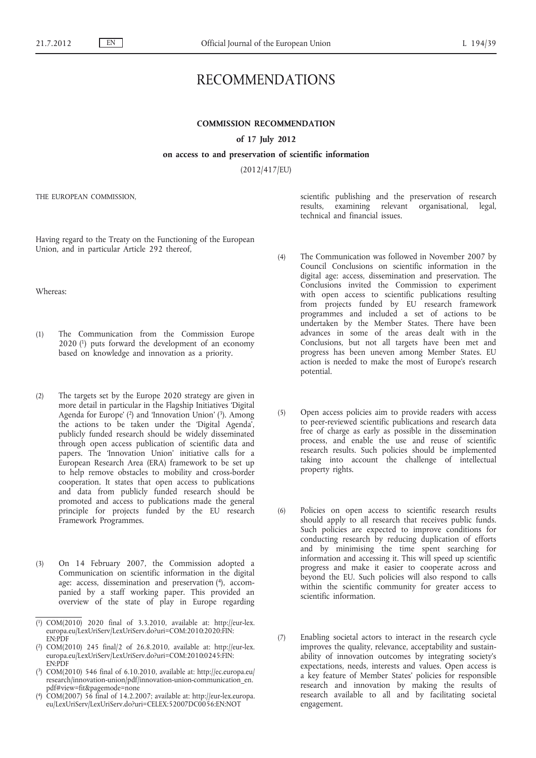# RECOMMENDATIONS

# **COMMISSION RECOMMENDATION**

#### **of 17 July 2012**

### **on access to and preservation of scientific information**

(2012/417/EU)

THE EUROPEAN COMMISSION,

Having regard to the Treaty on the Functioning of the European Union, and in particular Article 292 thereof,

Whereas:

- (1) The Communication from the Commission Europe 2020 (1) puts forward the development of an economy based on knowledge and innovation as a priority.
- (2) The targets set by the Europe 2020 strategy are given in more detail in particular in the Flagship Initiatives 'Digital Agenda for Europe' (2) and 'Innovation Union' (3). Among the actions to be taken under the 'Digital Agenda', publicly funded research should be widely disseminated through open access publication of scientific data and papers. The 'Innovation Union' initiative calls for a European Research Area (ERA) framework to be set up to help remove obstacles to mobility and cross-border cooperation. It states that open access to publications and data from publicly funded research should be promoted and access to publications made the general principle for projects funded by the EU research Framework Programmes.
- (3) On 14 February 2007, the Commission adopted a Communication on scientific information in the digital age: access, dissemination and preservation (4), accompanied by a staff working paper. This provided an overview of the state of play in Europe regarding

- ( 3) COM(2010) 546 final of 6.10.2010, available at: [http://ec.europa.eu/](http://ec.europa.eu/research/innovation-union/pdf/innovation-union-communication_en.pdf#view=fit&pagemode=none) [research/innovation-union/pdf/innovation-union-communication\\_en.](http://ec.europa.eu/research/innovation-union/pdf/innovation-union-communication_en.pdf#view=fit&pagemode=none) [pdf#view=fit&pagemode=none](http://ec.europa.eu/research/innovation-union/pdf/innovation-union-communication_en.pdf#view=fit&pagemode=none)
- ( 4) COM(2007) 56 final of 14.2.2007; available at: [http://eur-lex.europa.](http://eur-lex.europa.eu/LexUriServ/LexUriServ.do?uri=CELEX:52007DC0056:EN:NOT) [eu/LexUriServ/LexUriServ.do?uri=CELEX:52007DC0056:EN:NOT](http://eur-lex.europa.eu/LexUriServ/LexUriServ.do?uri=CELEX:52007DC0056:EN:NOT)

scientific publishing and the preservation of research results, examining relevant organisational, legal, technical and financial issues.

- (4) The Communication was followed in November 2007 by Council Conclusions on scientific information in the digital age: access, dissemination and preservation. The Conclusions invited the Commission to experiment with open access to scientific publications resulting from projects funded by EU research framework programmes and included a set of actions to be undertaken by the Member States. There have been advances in some of the areas dealt with in the Conclusions, but not all targets have been met and progress has been uneven among Member States. EU action is needed to make the most of Europe's research potential.
- (5) Open access policies aim to provide readers with access to peer-reviewed scientific publications and research data free of charge as early as possible in the dissemination process, and enable the use and reuse of scientific research results. Such policies should be implemented taking into account the challenge of intellectual property rights.
- (6) Policies on open access to scientific research results should apply to all research that receives public funds. Such policies are expected to improve conditions for conducting research by reducing duplication of efforts and by minimising the time spent searching for information and accessing it. This will speed up scientific progress and make it easier to cooperate across and beyond the EU. Such policies will also respond to calls within the scientific community for greater access to scientific information.
- (7) Enabling societal actors to interact in the research cycle improves the quality, relevance, acceptability and sustainability of innovation outcomes by integrating society's expectations, needs, interests and values. Open access is a key feature of Member States' policies for responsible research and innovation by making the results of research available to all and by facilitating societal engagement.

<sup>(</sup> 1) COM(2010) 2020 final of 3.3.2010, available at: [http://eur-lex.](http://eur-lex.europa.eu/LexUriServ/LexUriServ.do?uri=COM:2010:2020:FIN:EN:PDF) [europa.eu/LexUriServ/LexUriServ.do?uri=COM:2010:2020:FIN:](http://eur-lex.europa.eu/LexUriServ/LexUriServ.do?uri=COM:2010:2020:FIN:EN:PDF) [EN:PDF](http://eur-lex.europa.eu/LexUriServ/LexUriServ.do?uri=COM:2010:2020:FIN:EN:PDF)

<sup>(</sup> 2) COM(2010) 245 final/2 of 26.8.2010, available at: [http://eur-lex.](http://eur-lex.europa.eu/LexUriServ/LexUriServ.do?uri=COM:2010:0245:FIN:EN:PDF) [europa.eu/LexUriServ/LexUriServ.do?uri=COM:2010:0245:FIN:](http://eur-lex.europa.eu/LexUriServ/LexUriServ.do?uri=COM:2010:0245:FIN:EN:PDF) [EN:PDF](http://eur-lex.europa.eu/LexUriServ/LexUriServ.do?uri=COM:2010:0245:FIN:EN:PDF)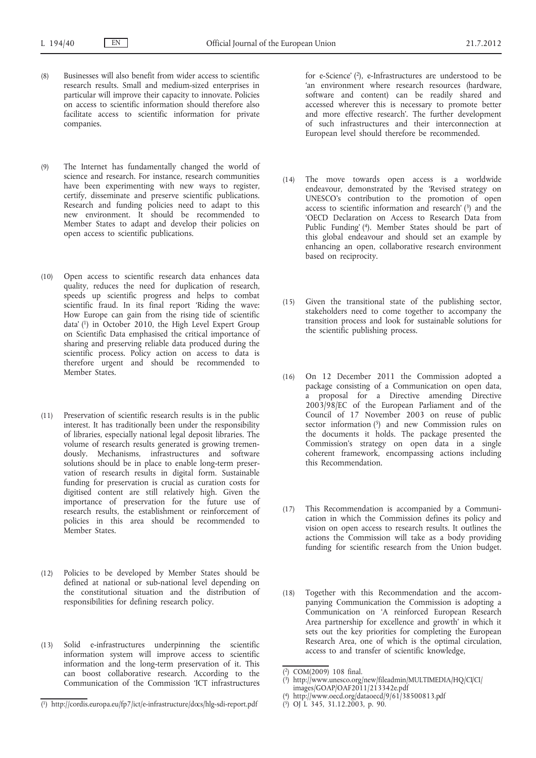- (8) Businesses will also benefit from wider access to scientific research results. Small and medium-sized enterprises in particular will improve their capacity to innovate. Policies on access to scientific information should therefore also facilitate access to scientific information for private companies.
- (9) The Internet has fundamentally changed the world of science and research. For instance, research communities have been experimenting with new ways to register, certify, disseminate and preserve scientific publications. Research and funding policies need to adapt to this new environment. It should be recommended to Member States to adapt and develop their policies on open access to scientific publications.
- (10) Open access to scientific research data enhances data quality, reduces the need for duplication of research, speeds up scientific progress and helps to combat scientific fraud. In its final report 'Riding the wave: How Europe can gain from the rising tide of scientific data' (1) in October 2010, the High Level Expert Group on Scientific Data emphasised the critical importance of sharing and preserving reliable data produced during the scientific process. Policy action on access to data is therefore urgent and should be recommended to Member States.
- (11) Preservation of scientific research results is in the public interest. It has traditionally been under the responsibility of libraries, especially national legal deposit libraries. The volume of research results generated is growing tremendously. Mechanisms, infrastructures and software solutions should be in place to enable long-term preservation of research results in digital form. Sustainable funding for preservation is crucial as curation costs for digitised content are still relatively high. Given the importance of preservation for the future use of research results, the establishment or reinforcement of policies in this area should be recommended to Member States.
- (12) Policies to be developed by Member States should be defined at national or sub-national level depending on the constitutional situation and the distribution of responsibilities for defining research policy.
- (13) Solid e-infrastructures underpinning the scientific information system will improve access to scientific information and the long-term preservation of it. This can boost collaborative research. According to the Communication of the Commission 'ICT infrastructures

for e-Science' (2), e-Infrastructures are understood to be 'an environment where research resources (hardware, software and content) can be readily shared and accessed wherever this is necessary to promote better and more effective research'. The further development of such infrastructures and their interconnection at European level should therefore be recommended.

- (14) The move towards open access is a worldwide endeavour, demonstrated by the 'Revised strategy on UNESCO's contribution to the promotion of open access to scientific information and research' (3) and the 'OECD Declaration on Access to Research Data from Public Funding' (4). Member States should be part of this global endeavour and should set an example by enhancing an open, collaborative research environment based on reciprocity.
- (15) Given the transitional state of the publishing sector, stakeholders need to come together to accompany the transition process and look for sustainable solutions for the scientific publishing process.
- (16) On 12 December 2011 the Commission adopted a package consisting of a Communication on open data, a proposal for a Directive amending Directive 2003/98/EC of the European Parliament and of the Council of 17 November 2003 on reuse of public sector information  $(5)$  and new Commission rules on the documents it holds. The package presented the Commission's strategy on open data in a single coherent framework, encompassing actions including this Recommendation.
- (17) This Recommendation is accompanied by a Communication in which the Commission defines its policy and vision on open access to research results. It outlines the actions the Commission will take as a body providing funding for scientific research from the Union budget.
- (18) Together with this Recommendation and the accompanying Communication the Commission is adopting a Communication on 'A reinforced European Research Area partnership for excellence and growth' in which it sets out the key priorities for completing the European Research Area, one of which is the optimal circulation, access to and transfer of scientific knowledge,

<sup>(</sup> 1) <http://cordis.europa.eu/fp7/ict/e-infrastructure/docs/hlg-sdi-report.pdf>

<sup>(</sup> 2) COM(2009) 108 final.

 $(3)$ [http://www.unesco.org/new/fileadmin/MULTIMEDIA/HQ/CI/CI/](http://www.unesco.org/new/fileadmin/MULTIMEDIA/HQ/CI/CI/images/GOAP/OAF2011/213342e.pdf)

[images/GOAP/OAF2011/213342e.pdf](http://www.unesco.org/new/fileadmin/MULTIMEDIA/HQ/CI/CI/images/GOAP/OAF2011/213342e.pdf) (

<http://www.oecd.org/dataoecd/9/61/38500813.pdf>

<sup>(</sup> 5) OJ L 345, 31.12.2003, p. 90.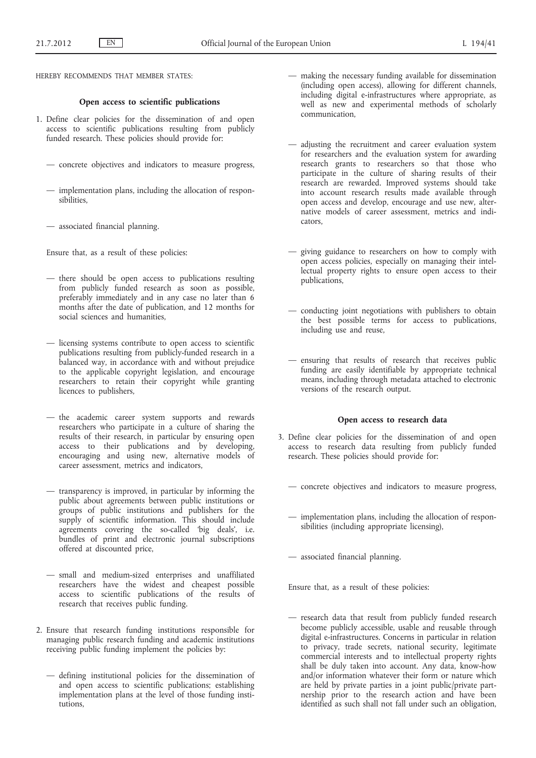HEREBY RECOMMENDS THAT MEMBER STATES:

#### **Open access to scientific publications**

- 1. Define clear policies for the dissemination of and open access to scientific publications resulting from publicly funded research. These policies should provide for:
	- concrete objectives and indicators to measure progress,
	- implementation plans, including the allocation of responsibilities,
	- associated financial planning.

Ensure that, as a result of these policies:

- there should be open access to publications resulting from publicly funded research as soon as possible, preferably immediately and in any case no later than 6 months after the date of publication, and 12 months for social sciences and humanities,
- licensing systems contribute to open access to scientific publications resulting from publicly-funded research in a balanced way, in accordance with and without prejudice to the applicable copyright legislation, and encourage researchers to retain their copyright while granting licences to publishers,
- the academic career system supports and rewards researchers who participate in a culture of sharing the results of their research, in particular by ensuring open access to their publications and by developing, encouraging and using new, alternative models of career assessment, metrics and indicators,
- transparency is improved, in particular by informing the public about agreements between public institutions or groups of public institutions and publishers for the supply of scientific information. This should include agreements covering the so-called 'big deals', i.e. bundles of print and electronic journal subscriptions offered at discounted price,
- small and medium-sized enterprises and unaffiliated researchers have the widest and cheapest possible access to scientific publications of the results of research that receives public funding.
- 2. Ensure that research funding institutions responsible for managing public research funding and academic institutions receiving public funding implement the policies by:
	- defining institutional policies for the dissemination of and open access to scientific publications; establishing implementation plans at the level of those funding institutions,
- making the necessary funding available for dissemination (including open access), allowing for different channels, including digital e-infrastructures where appropriate, as well as new and experimental methods of scholarly communication,
- adjusting the recruitment and career evaluation system for researchers and the evaluation system for awarding research grants to researchers so that those who participate in the culture of sharing results of their research are rewarded. Improved systems should take into account research results made available through open access and develop, encourage and use new, alternative models of career assessment, metrics and indicators,
- giving guidance to researchers on how to comply with open access policies, especially on managing their intellectual property rights to ensure open access to their publications,
- conducting joint negotiations with publishers to obtain the best possible terms for access to publications, including use and reuse,
- ensuring that results of research that receives public funding are easily identifiable by appropriate technical means, including through metadata attached to electronic versions of the research output.

#### **Open access to research data**

- 3. Define clear policies for the dissemination of and open access to research data resulting from publicly funded research. These policies should provide for:
	- concrete objectives and indicators to measure progress,
	- implementation plans, including the allocation of responsibilities (including appropriate licensing),
	- associated financial planning.

Ensure that, as a result of these policies:

— research data that result from publicly funded research become publicly accessible, usable and reusable through digital e-infrastructures. Concerns in particular in relation to privacy, trade secrets, national security, legitimate commercial interests and to intellectual property rights shall be duly taken into account. Any data, know-how and/or information whatever their form or nature which are held by private parties in a joint public/private partnership prior to the research action and have been identified as such shall not fall under such an obligation,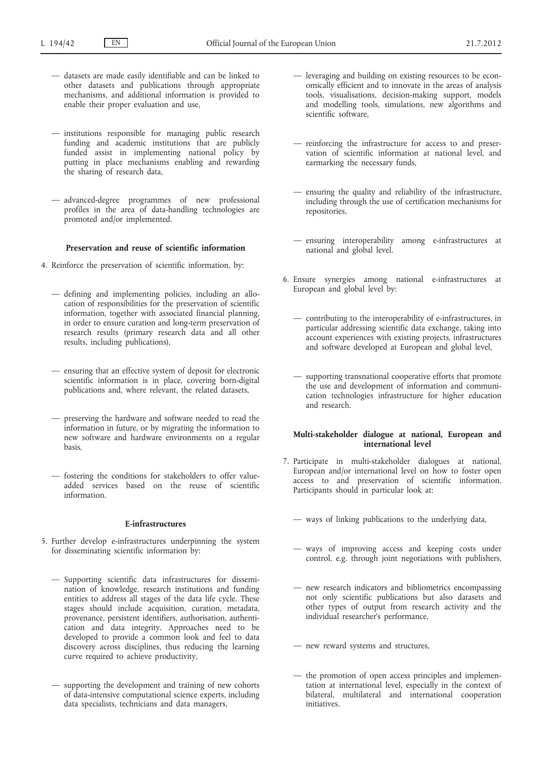- datasets are made easily identifiable and can be linked to other datasets and publications through appropriate mechanisms, and additional information is provided to enable their proper evaluation and use,
- institutions responsible for managing public research funding and academic institutions that are publicly funded assist in implementing national policy by putting in place mechanisms enabling and rewarding the sharing of research data,
- advanced-degree programmes of new professional profiles in the area of data-handling technologies are promoted and/or implemented.

# **Preservation and reuse of scientific information**

- 4. Reinforce the preservation of scientific information, by:
	- defining and implementing policies, including an allocation of responsibilities for the preservation of scientific information, together with associated financial planning, in order to ensure curation and long-term preservation of research results (primary research data and all other results, including publications),
	- ensuring that an effective system of deposit for electronic scientific information is in place, covering born-digital publications and, where relevant, the related datasets,
	- preserving the hardware and software needed to read the information in future, or by migrating the information to new software and hardware environments on a regular basis,
	- fostering the conditions for stakeholders to offer valueadded services based on the reuse of scientific information.

### **E-infrastructures**

- 5. Further develop e-infrastructures underpinning the system for disseminating scientific information by:
	- Supporting scientific data infrastructures for dissemination of knowledge, research institutions and funding entities to address all stages of the data life cycle. These stages should include acquisition, curation, metadata, provenance, persistent identifiers, authorisation, authentication and data integrity. Approaches need to be developed to provide a common look and feel to data discovery across disciplines, thus reducing the learning curve required to achieve productivity,
	- supporting the development and training of new cohorts of data-intensive computational science experts, including data specialists, technicians and data managers,
- leveraging and building on existing resources to be economically efficient and to innovate in the areas of analysis tools, visualisations, decision-making support, models and modelling tools, simulations, new algorithms and scientific software,
- reinforcing the infrastructure for access to and preservation of scientific information at national level, and earmarking the necessary funds,
- ensuring the quality and reliability of the infrastructure, including through the use of certification mechanisms for repositories,
- ensuring interoperability among e-infrastructures at national and global level.
- 6. Ensure synergies among national e-infrastructures at European and global level by:
	- contributing to the interoperability of e-infrastructures, in particular addressing scientific data exchange, taking into account experiences with existing projects, infrastructures and software developed at European and global level,
	- supporting transnational cooperative efforts that promote the use and development of information and communication technologies infrastructure for higher education and research.

## **Multi-stakeholder dialogue at national, European and international level**

- 7. Participate in multi-stakeholder dialogues at national, European and/or international level on how to foster open access to and preservation of scientific information. Participants should in particular look at:
	- ways of linking publications to the underlying data,
	- ways of improving access and keeping costs under control, e.g. through joint negotiations with publishers,
	- new research indicators and bibliometrics encompassing not only scientific publications but also datasets and other types of output from research activity and the individual researcher's performance,
	- new reward systems and structures,
	- the promotion of open access principles and implementation at international level, especially in the context of bilateral, multilateral and international cooperation initiatives.